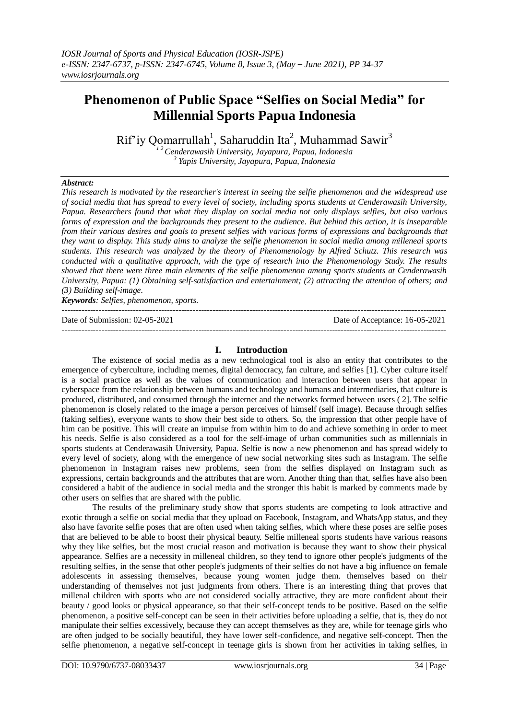# **Phenomenon of Public Space "Selfies on Social Media" for Millennial Sports Papua Indonesia**

Rif'iy Qomarrullah<sup>1</sup>, Saharuddin Ita<sup>2</sup>, Muhammad Sawir<sup>3</sup>

*<sup>1</sup> <sup>2</sup>Cenderawasih University, Jayapura, Papua, Indonesia 3 Yapis University, Jayapura, Papua, Indonesia*

# *Abstract:*

*This research is motivated by the researcher's interest in seeing the selfie phenomenon and the widespread use of social media that has spread to every level of society, including sports students at Cenderawasih University, Papua. Researchers found that what they display on social media not only displays selfies, but also various forms of expression and the backgrounds they present to the audience. But behind this action, it is inseparable from their various desires and goals to present selfies with various forms of expressions and backgrounds that they want to display. This study aims to analyze the selfie phenomenon in social media among milleneal sports students. This research was analyzed by the theory of Phenomenology by Alfred Schutz. This research was conducted with a qualitative approach, with the type of research into the Phenomenology Study. The results showed that there were three main elements of the selfie phenomenon among sports students at Cenderawasih University, Papua: (1) Obtaining self-satisfaction and entertainment; (2) attracting the attention of others; and (3) Building self-image.*

*Keywords: Selfies, phenomenon, sports.*

Date of Submission: 02-05-2021 Date of Acceptance: 16-05-2021

## **I. Introduction**

---------------------------------------------------------------------------------------------------------------------------------------

---------------------------------------------------------------------------------------------------------------------------------------

The existence of social media as a new technological tool is also an entity that contributes to the emergence of cyberculture, including memes, digital democracy, fan culture, and selfies [1]. Cyber culture itself is a social practice as well as the values of communication and interaction between users that appear in cyberspace from the relationship between humans and technology and humans and intermediaries, that culture is produced, distributed, and consumed through the internet and the networks formed between users ( 2]. The selfie phenomenon is closely related to the image a person perceives of himself (self image). Because through selfies (taking selfies), everyone wants to show their best side to others. So, the impression that other people have of him can be positive. This will create an impulse from within him to do and achieve something in order to meet his needs. Selfie is also considered as a tool for the self-image of urban communities such as millennials in sports students at Cenderawasih University, Papua. Selfie is now a new phenomenon and has spread widely to every level of society, along with the emergence of new social networking sites such as Instagram. The selfie phenomenon in Instagram raises new problems, seen from the selfies displayed on Instagram such as expressions, certain backgrounds and the attributes that are worn. Another thing than that, selfies have also been considered a habit of the audience in social media and the stronger this habit is marked by comments made by other users on selfies that are shared with the public.

The results of the preliminary study show that sports students are competing to look attractive and exotic through a selfie on social media that they upload on Facebook, Instagram, and WhatsApp status, and they also have favorite selfie poses that are often used when taking selfies, which where these poses are selfie poses that are believed to be able to boost their physical beauty. Selfie milleneal sports students have various reasons why they like selfies, but the most crucial reason and motivation is because they want to show their physical appearance. Selfies are a necessity in milleneal children, so they tend to ignore other people's judgments of the resulting selfies, in the sense that other people's judgments of their selfies do not have a big influence on female adolescents in assessing themselves, because young women judge them. themselves based on their understanding of themselves not just judgments from others. There is an interesting thing that proves that millenal children with sports who are not considered socially attractive, they are more confident about their beauty / good looks or physical appearance, so that their self-concept tends to be positive. Based on the selfie phenomenon, a positive self-concept can be seen in their activities before uploading a selfie, that is, they do not manipulate their selfies excessively, because they can accept themselves as they are, while for teenage girls who are often judged to be socially beautiful, they have lower self-confidence, and negative self-concept. Then the selfie phenomenon, a negative self-concept in teenage girls is shown from her activities in taking selfies, in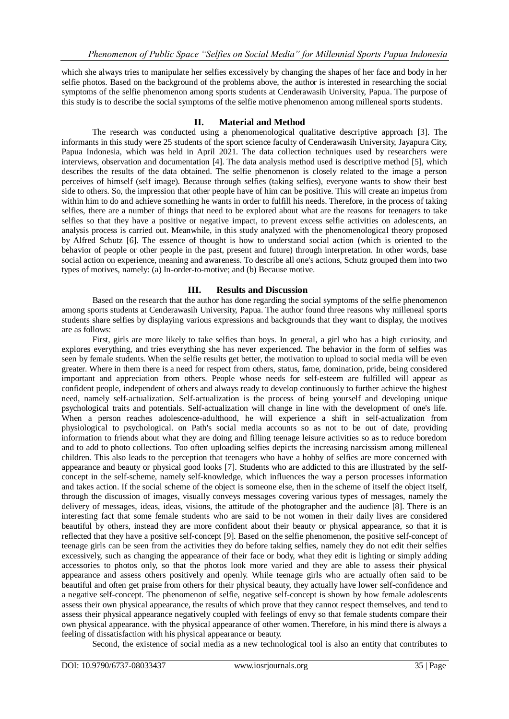which she always tries to manipulate her selfies excessively by changing the shapes of her face and body in her selfie photos. Based on the background of the problems above, the author is interested in researching the social symptoms of the selfie phenomenon among sports students at Cenderawasih University, Papua. The purpose of this study is to describe the social symptoms of the selfie motive phenomenon among milleneal sports students.

# **II. Material and Method**

The research was conducted using a phenomenological qualitative descriptive approach [3]. The informants in this study were 25 students of the sport science faculty of Cenderawasih University, Jayapura City, Papua Indonesia, which was held in April 2021. The data collection techniques used by researchers were interviews, observation and documentation [4]. The data analysis method used is descriptive method [5], which describes the results of the data obtained. The selfie phenomenon is closely related to the image a person perceives of himself (self image). Because through selfies (taking selfies), everyone wants to show their best side to others. So, the impression that other people have of him can be positive. This will create an impetus from within him to do and achieve something he wants in order to fulfill his needs. Therefore, in the process of taking selfies, there are a number of things that need to be explored about what are the reasons for teenagers to take selfies so that they have a positive or negative impact, to prevent excess selfie activities on adolescents, an analysis process is carried out. Meanwhile, in this study analyzed with the phenomenological theory proposed by Alfred Schutz [6]. The essence of thought is how to understand social action (which is oriented to the behavior of people or other people in the past, present and future) through interpretation. In other words, base social action on experience, meaning and awareness. To describe all one's actions, Schutz grouped them into two types of motives, namely: (a) In-order-to-motive; and (b) Because motive.

# **III. Results and Discussion**

Based on the research that the author has done regarding the social symptoms of the selfie phenomenon among sports students at Cenderawasih University, Papua. The author found three reasons why milleneal sports students share selfies by displaying various expressions and backgrounds that they want to display, the motives are as follows:

First, girls are more likely to take selfies than boys. In general, a girl who has a high curiosity, and explores everything, and tries everything she has never experienced. The behavior in the form of selfies was seen by female students. When the selfie results get better, the motivation to upload to social media will be even greater. Where in them there is a need for respect from others, status, fame, domination, pride, being considered important and appreciation from others. People whose needs for self-esteem are fulfilled will appear as confident people, independent of others and always ready to develop continuously to further achieve the highest need, namely self-actualization. Self-actualization is the process of being yourself and developing unique psychological traits and potentials. Self-actualization will change in line with the development of one's life. When a person reaches adolescence-adulthood, he will experience a shift in self-actualization from physiological to psychological. on Path's social media accounts so as not to be out of date, providing information to friends about what they are doing and filling teenage leisure activities so as to reduce boredom and to add to photo collections. Too often uploading selfies depicts the increasing narcissism among milleneal children. This also leads to the perception that teenagers who have a hobby of selfies are more concerned with appearance and beauty or physical good looks [7]. Students who are addicted to this are illustrated by the selfconcept in the self-scheme, namely self-knowledge, which influences the way a person processes information and takes action. If the social scheme of the object is someone else, then in the scheme of itself the object itself, through the discussion of images, visually conveys messages covering various types of messages, namely the delivery of messages, ideas, ideas, visions, the attitude of the photographer and the audience [8]. There is an interesting fact that some female students who are said to be not women in their daily lives are considered beautiful by others, instead they are more confident about their beauty or physical appearance, so that it is reflected that they have a positive self-concept [9]. Based on the selfie phenomenon, the positive self-concept of teenage girls can be seen from the activities they do before taking selfies, namely they do not edit their selfies excessively, such as changing the appearance of their face or body, what they edit is lighting or simply adding accessories to photos only, so that the photos look more varied and they are able to assess their physical appearance and assess others positively and openly. While teenage girls who are actually often said to be beautiful and often get praise from others for their physical beauty, they actually have lower self-confidence and a negative self-concept. The phenomenon of selfie, negative self-concept is shown by how female adolescents assess their own physical appearance, the results of which prove that they cannot respect themselves, and tend to assess their physical appearance negatively coupled with feelings of envy so that female students compare their own physical appearance. with the physical appearance of other women. Therefore, in his mind there is always a feeling of dissatisfaction with his physical appearance or beauty.

Second, the existence of social media as a new technological tool is also an entity that contributes to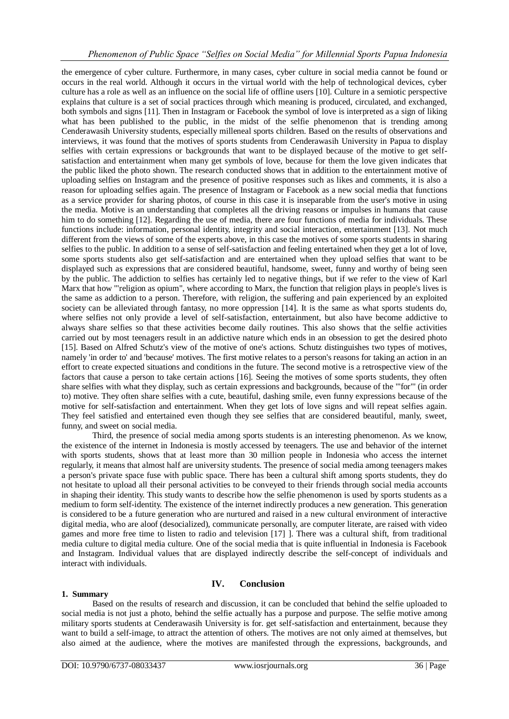# *Phenomenon of Public Space "Selfies on Social Media" for Millennial Sports Papua Indonesia*

the emergence of cyber culture. Furthermore, in many cases, cyber culture in social media cannot be found or occurs in the real world. Although it occurs in the virtual world with the help of technological devices, cyber culture has a role as well as an influence on the social life of offline users [10]. Culture in a semiotic perspective explains that culture is a set of social practices through which meaning is produced, circulated, and exchanged, both symbols and signs [11]. Then in Instagram or Facebook the symbol of love is interpreted as a sign of liking what has been published to the public, in the midst of the selfie phenomenon that is trending among Cenderawasih University students, especially milleneal sports children. Based on the results of observations and interviews, it was found that the motives of sports students from Cenderawasih University in Papua to display selfies with certain expressions or backgrounds that want to be displayed because of the motive to get selfsatisfaction and entertainment when many get symbols of love, because for them the love given indicates that the public liked the photo shown. The research conducted shows that in addition to the entertainment motive of uploading selfies on Instagram and the presence of positive responses such as likes and comments, it is also a reason for uploading selfies again. The presence of Instagram or Facebook as a new social media that functions as a service provider for sharing photos, of course in this case it is inseparable from the user's motive in using the media. Motive is an understanding that completes all the driving reasons or impulses in humans that cause him to do something [12]. Regarding the use of media, there are four functions of media for individuals. These functions include: information, personal identity, integrity and social interaction, entertainment [13]. Not much different from the views of some of the experts above, in this case the motives of some sports students in sharing selfies to the public. In addition to a sense of self-satisfaction and feeling entertained when they get a lot of love, some sports students also get self-satisfaction and are entertained when they upload selfies that want to be displayed such as expressions that are considered beautiful, handsome, sweet, funny and worthy of being seen by the public. The addiction to selfies has certainly led to negative things, but if we refer to the view of Karl Marx that how "'religion as opium", where according to Marx, the function that religion plays in people's lives is the same as addiction to a person. Therefore, with religion, the suffering and pain experienced by an exploited society can be alleviated through fantasy, no more oppression [14]. It is the same as what sports students do, where selfies not only provide a level of self-satisfaction, entertainment, but also have become addictive to always share selfies so that these activities become daily routines. This also shows that the selfie activities carried out by most teenagers result in an addictive nature which ends in an obsession to get the desired photo [15]. Based on Alfred Schutz's view of the motive of one's actions. Schutz distinguishes two types of motives, namely 'in order to' and 'because' motives. The first motive relates to a person's reasons for taking an action in an effort to create expected situations and conditions in the future. The second motive is a retrospective view of the factors that cause a person to take certain actions [16]. Seeing the motives of some sports students, they often share selfies with what they display, such as certain expressions and backgrounds, because of the "'for"' (in order to) motive. They often share selfies with a cute, beautiful, dashing smile, even funny expressions because of the motive for self-satisfaction and entertainment. When they get lots of love signs and will repeat selfies again. They feel satisfied and entertained even though they see selfies that are considered beautiful, manly, sweet, funny, and sweet on social media.

Third, the presence of social media among sports students is an interesting phenomenon. As we know, the existence of the internet in Indonesia is mostly accessed by teenagers. The use and behavior of the internet with sports students, shows that at least more than 30 million people in Indonesia who access the internet regularly, it means that almost half are university students. The presence of social media among teenagers makes a person's private space fuse with public space. There has been a cultural shift among sports students, they do not hesitate to upload all their personal activities to be conveyed to their friends through social media accounts in shaping their identity. This study wants to describe how the selfie phenomenon is used by sports students as a medium to form self-identity. The existence of the internet indirectly produces a new generation. This generation is considered to be a future generation who are nurtured and raised in a new cultural environment of interactive digital media, who are aloof (desocialized), communicate personally, are computer literate, are raised with video games and more free time to listen to radio and television [17] ]. There was a cultural shift, from traditional media culture to digital media culture. One of the social media that is quite influential in Indonesia is Facebook and Instagram. Individual values that are displayed indirectly describe the self-concept of individuals and interact with individuals.

# **IV. Conclusion**

## **1. Summary**

Based on the results of research and discussion, it can be concluded that behind the selfie uploaded to social media is not just a photo, behind the selfie actually has a purpose and purpose. The selfie motive among military sports students at Cenderawasih University is for. get self-satisfaction and entertainment, because they want to build a self-image, to attract the attention of others. The motives are not only aimed at themselves, but also aimed at the audience, where the motives are manifested through the expressions, backgrounds, and